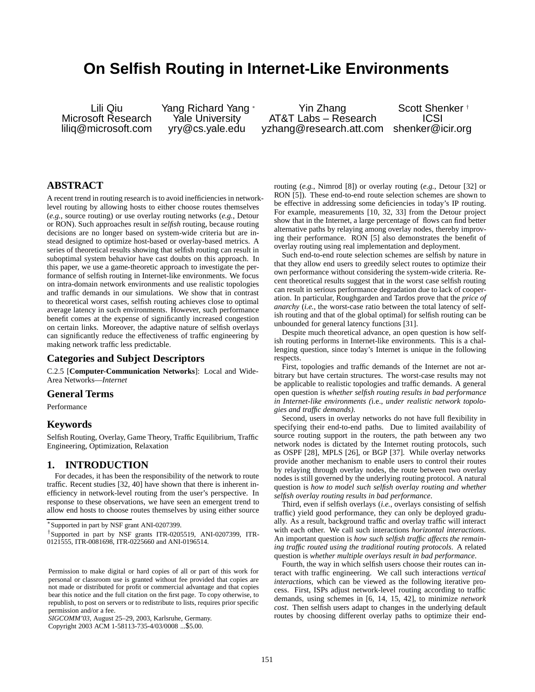# **On Selfish Routing in Internet-Like Environments**

Lili Qiu Yang Richard Yang <sup>∗</sup> Yin Zhang Scott Shenker † Microsoft Research Yale University AT&T Labs – Research ICSI<br>liliq@microsoft.com yry@cs.yale.edu yzhang@research.att.com shenker@icir.org liliq@microsoft.com yry@cs.yale.edu yzhang@research.att.com

# **ABSTRACT**

A recent trend in routing research is to avoid inefficiencies in networklevel routing by allowing hosts to either choose routes themselves (*e.g.*, source routing) or use overlay routing networks (*e.g.*, Detour or RON). Such approaches result in *selfish* routing, because routing decisions are no longer based on system-wide criteria but are instead designed to optimize host-based or overlay-based metrics. A series of theoretical results showing that selfish routing can result in suboptimal system behavior have cast doubts on this approach. In this paper, we use a game-theoretic approach to investigate the performance of selfish routing in Internet-like environments. We focus on intra-domain network environments and use realistic topologies and traffic demands in our simulations. We show that in contrast to theoretical worst cases, selfish routing achieves close to optimal average latency in such environments. However, such performance benefit comes at the expense of significantly increased congestion on certain links. Moreover, the adaptive nature of selfish overlays can significantly reduce the effectiveness of traffic engineering by making network traffic less predictable.

#### **Categories and Subject Descriptors**

C.2.5 [**Computer-Communication Networks**]: Local and Wide-Area Networks—*Internet*

#### **General Terms**

**Performance** 

#### **Keywords**

Selfish Routing, Overlay, Game Theory, Traffic Equilibrium, Traffic Engineering, Optimization, Relaxation

#### **1. INTRODUCTION**

For decades, it has been the responsibility of the network to route traffic. Recent studies [32, 40] have shown that there is inherent inefficiency in network-level routing from the user's perspective. In response to these observations, we have seen an emergent trend to allow end hosts to choose routes themselves by using either source

∗Supported in part by NSF grant ANI-0207399.

*SIGCOMM'03,* August 25–29, 2003, Karlsruhe, Germany.

Copyright 2003 ACM 1-58113-735-4/03/0008 ...\$5.00.

routing (*e.g.*, Nimrod [8]) or overlay routing (*e.g.*, Detour [32] or RON [5]). These end-to-end route selection schemes are shown to be effective in addressing some deficiencies in today's IP routing. For example, measurements [10, 32, 33] from the Detour project show that in the Internet, a large percentage of flows can find better alternative paths by relaying among overlay nodes, thereby improving their performance. RON [5] also demonstrates the benefit of overlay routing using real implementation and deployment.

Such end-to-end route selection schemes are selfish by nature in that they allow end users to greedily select routes to optimize their own performance without considering the system-wide criteria. Recent theoretical results suggest that in the worst case selfish routing can result in serious performance degradation due to lack of cooperation. In particular, Roughgarden and Tardos prove that the *price of anarchy* (*i.e.*, the worst-case ratio between the total latency of selfish routing and that of the global optimal) for selfish routing can be unbounded for general latency functions [31].

Despite much theoretical advance, an open question is how selfish routing performs in Internet-like environments. This is a challenging question, since today's Internet is unique in the following respects.

First, topologies and traffic demands of the Internet are not arbitrary but have certain structures. The worst-case results may not be applicable to realistic topologies and traffic demands. A general open question is *whether selfish routing results in bad performance in Internet-like environments (*i.e.*, under realistic network topologies and traffic demands)*.

Second, users in overlay networks do not have full flexibility in specifying their end-to-end paths. Due to limited availability of source routing support in the routers, the path between any two network nodes is dictated by the Internet routing protocols, such as OSPF [28], MPLS [26], or BGP [37]. While overlay networks provide another mechanism to enable users to control their routes by relaying through overlay nodes, the route between two overlay nodes is still governed by the underlying routing protocol. A natural question is *how to model such selfish overlay routing and whether selfish overlay routing results in bad performance*.

Third, even if selfish overlays (*i.e.*, overlays consisting of selfish traffic) yield good performance, they can only be deployed gradually. As a result, background traffic and overlay traffic will interact with each other. We call such interactions *horizontal interactions*. An important question is *how such selfish traffic affects the remaining traffic routed using the traditional routing protocols*. A related question is *whether multiple overlays result in bad performance*.

Fourth, the way in which selfish users choose their routes can interact with traffic engineering. We call such interactions *vertical interactions*, which can be viewed as the following iterative process. First, ISPs adjust network-level routing according to traffic demands, using schemes in [6, 14, 15, 42], to minimize *network cost*. Then selfish users adapt to changes in the underlying default routes by choosing different overlay paths to optimize their end-

<sup>†</sup>Supported in part by NSF grants ITR-0205519, ANI-0207399, ITR-0121555, ITR-0081698, ITR-0225660 and ANI-0196514.

Permission to make digital or hard copies of all or part of this work for personal or classroom use is granted without fee provided that copies are not made or distributed for profit or commercial advantage and that copies bear this notice and the full citation on the first page. To copy otherwise, to republish, to post on servers or to redistribute to lists, requires prior specific permission and/or a fee.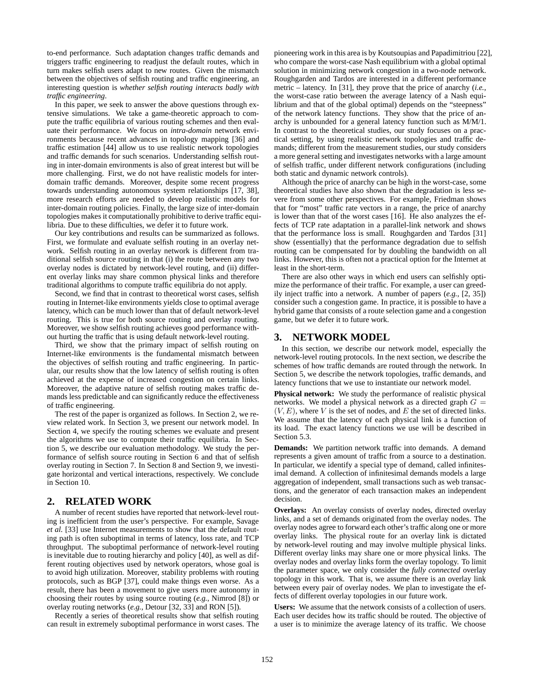to-end performance. Such adaptation changes traffic demands and triggers traffic engineering to readjust the default routes, which in turn makes selfish users adapt to new routes. Given the mismatch between the objectives of selfish routing and traffic engineering, an interesting question is *whether selfish routing interacts badly with traffic engineering*.

In this paper, we seek to answer the above questions through extensive simulations. We take a game-theoretic approach to compute the traffic equilibria of various routing schemes and then evaluate their performance. We focus on *intra-domain* network environments because recent advances in topology mapping [36] and traffic estimation [44] allow us to use realistic network topologies and traffic demands for such scenarios. Understanding selfish routing in inter-domain environments is also of great interest but will be more challenging. First, we do not have realistic models for interdomain traffic demands. Moreover, despite some recent progress towards understanding autonomous system relationships [17, 38], more research efforts are needed to develop realistic models for inter-domain routing policies. Finally, the large size of inter-domain topologies makes it computationally prohibitive to derive traffic equilibria. Due to these difficulties, we defer it to future work.

Our key contributions and results can be summarized as follows. First, we formulate and evaluate selfish routing in an overlay network. Selfish routing in an overlay network is different from traditional selfish source routing in that (i) the route between any two overlay nodes is dictated by network-level routing, and (ii) different overlay links may share common physical links and therefore traditional algorithms to compute traffic equilibria do not apply.

Second, we find that in contrast to theoretical worst cases, selfish routing in Internet-like environments yields close to optimal average latency, which can be much lower than that of default network-level routing. This is true for both source routing and overlay routing. Moreover, we show selfish routing achieves good performance without hurting the traffic that is using default network-level routing.

Third, we show that the primary impact of selfish routing on Internet-like environments is the fundamental mismatch between the objectives of selfish routing and traffic engineering. In particular, our results show that the low latency of selfish routing is often achieved at the expense of increased congestion on certain links. Moreover, the adaptive nature of selfish routing makes traffic demands less predictable and can significantly reduce the effectiveness of traffic engineering.

The rest of the paper is organized as follows. In Section 2, we review related work. In Section 3, we present our network model. In Section 4, we specify the routing schemes we evaluate and present the algorithms we use to compute their traffic equilibria. In Section 5, we describe our evaluation methodology. We study the performance of selfish source routing in Section 6 and that of selfish overlay routing in Section 7. In Section 8 and Section 9, we investigate horizontal and vertical interactions, respectively. We conclude in Section 10.

# **2. RELATED WORK**

A number of recent studies have reported that network-level routing is inefficient from the user's perspective. For example, Savage *et al.* [33] use Internet measurements to show that the default routing path is often suboptimal in terms of latency, loss rate, and TCP throughput. The suboptimal performance of network-level routing is inevitable due to routing hierarchy and policy [40], as well as different routing objectives used by network operators, whose goal is to avoid high utilization. Moreover, stability problems with routing protocols, such as BGP [37], could make things even worse. As a result, there has been a movement to give users more autonomy in choosing their routes by using source routing (*e.g.*, Nimrod [8]) or overlay routing networks (*e.g.*, Detour [32, 33] and RON [5]).

Recently a series of theoretical results show that selfish routing can result in extremely suboptimal performance in worst cases. The pioneering work in this area is by Koutsoupias and Papadimitriou [22], who compare the worst-case Nash equilibrium with a global optimal solution in minimizing network congestion in a two-node network. Roughgarden and Tardos are interested in a different performance metric – latency. In [31], they prove that the price of anarchy (*i.e.*, the worst-case ratio between the average latency of a Nash equilibrium and that of the global optimal) depends on the "steepness" of the network latency functions. They show that the price of anarchy is unbounded for a general latency function such as M/M/1. In contrast to the theoretical studies, our study focuses on a practical setting, by using realistic network topologies and traffic demands; different from the measurement studies, our study considers a more general setting and investigates networks with a large amount of selfish traffic, under different network configurations (including both static and dynamic network controls).

Although the price of anarchy can be high in the worst-case, some theoretical studies have also shown that the degradation is less severe from some other perspectives. For example, Friedman shows that for "most" traffic rate vectors in a range, the price of anarchy is lower than that of the worst cases [16]. He also analyzes the effects of TCP rate adaptation in a parallel-link network and shows that the performance loss is small. Roughgarden and Tardos [31] show (essentially) that the performance degradation due to selfish routing can be compensated for by doubling the bandwidth on all links. However, this is often not a practical option for the Internet at least in the short-term.

There are also other ways in which end users can selfishly optimize the performance of their traffic. For example, a user can greedily inject traffic into a network. A number of papers (*e.g.*, [2, 35]) consider such a congestion game. In practice, it is possible to have a hybrid game that consists of a route selection game and a congestion game, but we defer it to future work.

### **3. NETWORK MODEL**

In this section, we describe our network model, especially the network-level routing protocols. In the next section, we describe the schemes of how traffic demands are routed through the network. In Section 5, we describe the network topologies, traffic demands, and latency functions that we use to instantiate our network model.

**Physical network:** We study the performance of realistic physical networks. We model a physical network as a directed graph  $G =$  $(V, E)$ , where V is the set of nodes, and E the set of directed links. We assume that the latency of each physical link is a function of its load. The exact latency functions we use will be described in Section 5.3.

**Demands:** We partition network traffic into demands. A demand represents a given amount of traffic from a source to a destination. In particular, we identify a special type of demand, called infinitesimal demand. A collection of infinitesimal demands models a large aggregation of independent, small transactions such as web transactions, and the generator of each transaction makes an independent decision.

**Overlays:** An overlay consists of overlay nodes, directed overlay links, and a set of demands originated from the overlay nodes. The overlay nodes agree to forward each other's traffic along one or more overlay links. The physical route for an overlay link is dictated by network-level routing and may involve multiple physical links. Different overlay links may share one or more physical links. The overlay nodes and overlay links form the overlay topology. To limit the parameter space, we only consider the *fully connected* overlay topology in this work. That is, we assume there is an overlay link between every pair of overlay nodes. We plan to investigate the effects of different overlay topologies in our future work.

**Users:** We assume that the network consists of a collection of users. Each user decides how its traffic should be routed. The objective of a user is to minimize the average latency of its traffic. We choose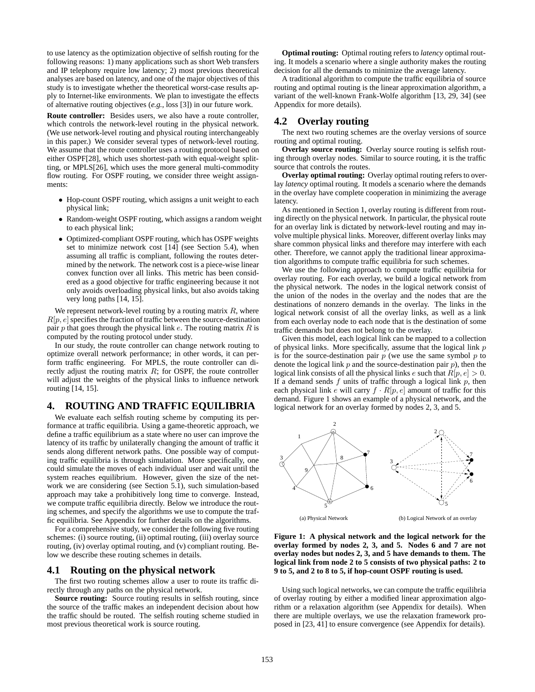to use latency as the optimization objective of selfish routing for the following reasons: 1) many applications such as short Web transfers and IP telephony require low latency; 2) most previous theoretical analyses are based on latency, and one of the major objectives of this study is to investigate whether the theoretical worst-case results apply to Internet-like environments. We plan to investigate the effects of alternative routing objectives (*e.g.*, loss [3]) in our future work.

**Route controller:** Besides users, we also have a route controller, which controls the network-level routing in the physical network. (We use network-level routing and physical routing interchangeably in this paper.) We consider several types of network-level routing. We assume that the route controller uses a routing protocol based on either OSPF[28], which uses shortest-path with equal-weight splitting, or MPLS[26], which uses the more general multi-commodity flow routing. For OSPF routing, we consider three weight assignments:

- Hop-count OSPF routing, which assigns a unit weight to each physical link;
- Random-weight OSPF routing, which assigns a random weight to each physical link;
- Optimized-compliant OSPF routing, which has OSPF weights set to minimize network cost [14] (see Section 5.4), when assuming all traffic is compliant, following the routes determined by the network. The network cost is a piece-wise linear convex function over all links. This metric has been considered as a good objective for traffic engineering because it not only avoids overloading physical links, but also avoids taking very long paths [14, 15].

We represent network-level routing by a routing matrix  $R$ , where  $R[p, e]$  specifies the fraction of traffic between the source-destination pair  $p$  that goes through the physical link  $e$ . The routing matrix  $R$  is computed by the routing protocol under study.

In our study, the route controller can change network routing to optimize overall network performance; in other words, it can perform traffic engineering. For MPLS, the route controller can directly adjust the routing matrix  $R$ ; for OSPF, the route controller will adjust the weights of the physical links to influence network routing [14, 15].

#### **4. ROUTING AND TRAFFIC EQUILIBRIA**

We evaluate each selfish routing scheme by computing its performance at traffic equilibria. Using a game-theoretic approach, we define a traffic equilibrium as a state where no user can improve the latency of its traffic by unilaterally changing the amount of traffic it sends along different network paths. One possible way of computing traffic equilibria is through simulation. More specifically, one could simulate the moves of each individual user and wait until the system reaches equilibrium. However, given the size of the network we are considering (see Section 5.1), such simulation-based approach may take a prohibitively long time to converge. Instead, we compute traffic equilibria directly. Below we introduce the routing schemes, and specify the algorithms we use to compute the traffic equilibria. See Appendix for further details on the algorithms.

For a comprehensive study, we consider the following five routing schemes: (i) source routing, (ii) optimal routing, (iii) overlay source routing, (iv) overlay optimal routing, and (v) compliant routing. Below we describe these routing schemes in details.

#### **4.1 Routing on the physical network**

The first two routing schemes allow a user to route its traffic directly through any paths on the physical network.

**Source routing:** Source routing results in selfish routing, since the source of the traffic makes an independent decision about how the traffic should be routed. The selfish routing scheme studied in most previous theoretical work is source routing.

**Optimal routing:** Optimal routing refers to *latency* optimal routing. It models a scenario where a single authority makes the routing decision for all the demands to minimize the average latency.

A traditional algorithm to compute the traffic equilibria of source routing and optimal routing is the linear approximation algorithm, a variant of the well-known Frank-Wolfe algorithm [13, 29, 34] (see Appendix for more details).

#### **4.2 Overlay routing**

The next two routing schemes are the overlay versions of source routing and optimal routing.

**Overlay source routing:** Overlay source routing is selfish routing through overlay nodes. Similar to source routing, it is the traffic source that controls the routes.

**Overlay optimal routing:** Overlay optimal routing refers to overlay *latency* optimal routing. It models a scenario where the demands in the overlay have complete cooperation in minimizing the average latency.

As mentioned in Section 1, overlay routing is different from routing directly on the physical network. In particular, the physical route for an overlay link is dictated by network-level routing and may involve multiple physical links. Moreover, different overlay links may share common physical links and therefore may interfere with each other. Therefore, we cannot apply the traditional linear approximation algorithms to compute traffic equilibria for such schemes.

We use the following approach to compute traffic equilibria for overlay routing. For each overlay, we build a logical network from the physical network. The nodes in the logical network consist of the union of the nodes in the overlay and the nodes that are the destinations of nonzero demands in the overlay. The links in the logical network consist of all the overlay links, as well as a link from each overlay node to each node that is the destination of some traffic demands but does not belong to the overlay.

Given this model, each logical link can be mapped to a collection of physical links. More specifically, assume that the logical link  $p$ is for the source-destination pair  $p$  (we use the same symbol  $p$  to denote the logical link  $p$  and the source-destination pair  $p$ ), then the logical link consists of all the physical links e such that  $R[p, e] > 0$ . If a demand sends  $f$  units of traffic through a logical link  $p$ , then each physical link e will carry  $f \cdot R[p, e]$  amount of traffic for this demand. Figure 1 shows an example of a physical network, and the logical network for an overlay formed by nodes 2, 3, and 5.



**Figure 1: A physical network and the logical network for the overlay formed by nodes 2, 3, and 5. Nodes 6 and 7 are not overlay nodes but nodes 2, 3, and 5 have demands to them. The logical link from node 2 to 5 consists of two physical paths: 2 to 9 to 5, and 2 to 8 to 5, if hop-count OSPF routing is used.**

Using such logical networks, we can compute the traffic equilibria of overlay routing by either a modified linear approximation algorithm or a relaxation algorithm (see Appendix for details). When there are multiple overlays, we use the relaxation framework proposed in [23, 41] to ensure convergence (see Appendix for details).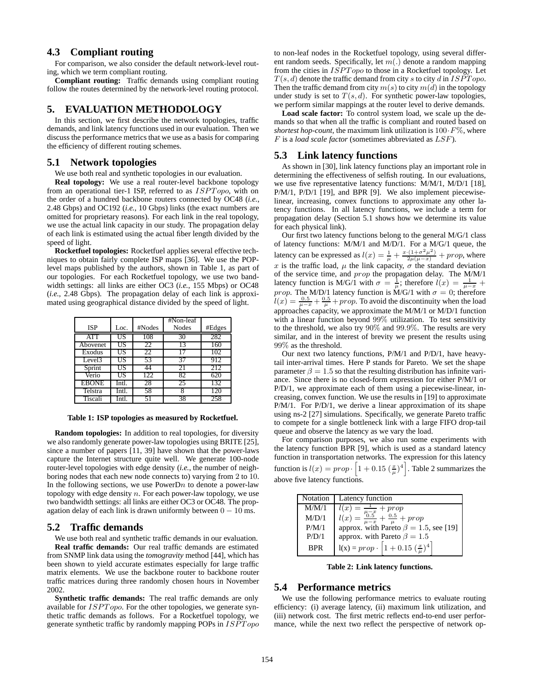#### **4.3 Compliant routing**

For comparison, we also consider the default network-level routing, which we term compliant routing.

**Compliant routing:** Traffic demands using compliant routing follow the routes determined by the network-level routing protocol.

#### **5. EVALUATION METHODOLOGY**

In this section, we first describe the network topologies, traffic demands, and link latency functions used in our evaluation. Then we discuss the performance metrics that we use as a basis for comparing the efficiency of different routing schemes.

#### **5.1 Network topologies**

We use both real and synthetic topologies in our evaluation.

**Real topology:** We use a real router-level backbone topology from an operational tier-1 ISP, referred to as  $ISPTopo$ , with on the order of a hundred backbone routers connected by OC48 (*i.e.*, 2.48 Gbps) and OC192 (*i.e.*, 10 Gbps) links (the exact numbers are omitted for proprietary reasons). For each link in the real topology, we use the actual link capacity in our study. The propagation delay of each link is estimated using the actual fiber length divided by the speed of light.

**Rocketfuel topologies:** Rocketfuel applies several effective techniques to obtain fairly complete ISP maps [36]. We use the POPlevel maps published by the authors, shown in Table 1, as part of our topologies. For each Rocketfuel topology, we use two bandwidth settings: all links are either OC3 (*i.e.*, 155 Mbps) or OC48 (*i.e.*, 2.48 Gbps). The propagation delay of each link is approximated using geographical distance divided by the speed of light.

|                      |       |        | #Non-leaf    |        |
|----------------------|-------|--------|--------------|--------|
| <b>ISP</b>           | Loc.  | #Nodes | <b>Nodes</b> | #Edges |
| <b>ATT</b>           | US    | 108    | 30           | 282    |
| Abovenet             | US    | 22     | 13           | 160    |
| Exodus               | US    | 22     |              | 102    |
| Level $\overline{3}$ | US    | 53     | 37           | 912    |
| Sprint               | US    | 44     | 21           | 212    |
| Verio                | US    | 122    | 82           | 620    |
| <b>EBONE</b>         | Intl. | 28     | 25           | 132    |
| Telstra              | Intl. | 58     | 8            | 120    |
| Tiscali              | Intl. | 51     | 38           | 258    |

**Table 1: ISP topologies as measured by Rocketfuel.**

**Random topologies:** In addition to real topologies, for diversity we also randomly generate power-law topologies using BRITE [25], since a number of papers [11, 39] have shown that the power-laws capture the Internet structure quite well. We generate 100-node router-level topologies with edge density (*i.e.*, the number of neighboring nodes that each new node connects to) varying from 2 to 10. In the following sections, we use  $PowerDn$  to denote a power-law topology with edge density  $n$ . For each power-law topology, we use two bandwidth settings: all links are either OC3 or OC48. The propagation delay of each link is drawn uniformly between  $0 - 10$  ms.

#### **5.2 Traffic demands**

We use both real and synthetic traffic demands in our evaluation. **Real traffic demands:** Our real traffic demands are estimated from SNMP link data using the *tomogravity* method [44], which has been shown to yield accurate estimates especially for large traffic matrix elements. We use the backbone router to backbone router traffic matrices during three randomly chosen hours in November 2002.

**Synthetic traffic demands:** The real traffic demands are only available for  $ISPTopo$ . For the other topologies, we generate synthetic traffic demands as follows. For a Rocketfuel topology, we generate synthetic traffic by randomly mapping POPs in  $ISPTopo$  to non-leaf nodes in the Rocketfuel topology, using several different random seeds. Specifically, let  $m(.)$  denote a random mapping from the cities in  $ISPTopo$  to those in a Rocketfuel topology. Let  $T(s, d)$  denote the traffic demand from city s to city d in  $ISP$  T opo. Then the traffic demand from city  $m(s)$  to city  $m(d)$  in the topology under study is set to  $T(s, d)$ . For synthetic power-law topologies, we perform similar mappings at the router level to derive demands.

**Load scale factor:** To control system load, we scale up the demands so that when all the traffic is compliant and routed based on *shortest hop-count*, the maximum link utilization is  $100 \cdot F\%$ , where F is a *load scale factor* (sometimes abbreviated as LSF).

#### **5.3 Link latency functions**

As shown in [30], link latency functions play an important role in determining the effectiveness of selfish routing. In our evaluations, we use five representative latency functions: M/M/1, M/D/1 [18], P/M/1, P/D/1 [19], and BPR [9]. We also implement piecewiselinear, increasing, convex functions to approximate any other latency functions. In all latency functions, we include a term for propagation delay (Section 5.1 shows how we determine its value for each physical link).

Our first two latency functions belong to the general M/G/1 class of latency functions: M/M/1 and M/D/1. For a M/G/1 queue, the latency can be expressed as  $l(x) = \frac{1}{\mu} + \frac{x \cdot (1 + \sigma^2 \mu^2)}{2\mu(\mu - x)} + prop$ , where x is the traffic load,  $\mu$  the link capacity,  $\sigma$  the standard deviation of the service time, and  $prop$  the propagation delay. The M/M/1 latency function is M/G/1 with  $\sigma = \frac{1}{\mu}$ ; therefore  $l(x) = \frac{1}{\mu - x} +$ prop. The M/D/1 latency function is M/G/1 with  $\sigma = 0$ ; therefore  $\hat{l}(x) = \frac{0.5}{\mu - x} + \frac{0.5}{\mu} + prop.$  To avoid the discontinuity when the load approaches capacity, we approximate the M/M/1 or M/D/1 function with a linear function beyond 99% utilization. To test sensitivity to the threshold, we also try 90% and 99.9%. The results are very similar, and in the interest of brevity we present the results using 99% as the threshold.

Our next two latency functions, P/M/1 and P/D/1, have heavytail inter-arrival times. Here P stands for Pareto. We set the shape parameter  $\beta = 1.5$  so that the resulting distribution has infinite variance. Since there is no closed-form expression for either P/M/1 or P/D/1, we approximate each of them using a piecewise-linear, increasing, convex function. We use the results in [19] to approximate  $P/M/1$ . For  $P/D/1$ , we derive a linear approximation of its shape using ns-2 [27] simulations. Specifically, we generate Pareto traffic to compete for a single bottleneck link with a large FIFO drop-tail queue and observe the latency as we vary the load.

For comparison purposes, we also run some experiments with the latency function BPR [9], which is used as a standard latency function in transportation networks. The expression for this latency function is  $l(x) = prop \cdot \left[1 + 0.15 \left(\frac{x}{\mu}\right)^4\right]$ . Table 2 summarizes the above five latency functions.

| Notation   | Latency function                                                                                     |
|------------|------------------------------------------------------------------------------------------------------|
| M/M/1      | l(x)<br>$=$<br>$\frac{1}{1}$ + prop                                                                  |
| M/D/1      | $l(x) = \frac{1}{\mu - x} + p\omega p$<br>$l(x) = \frac{0.5}{\mu - x} + \frac{0.5}{\mu} + p\omega p$ |
| P/M/1      | approx. with Pareto $\beta = 1.5$ , see [19]                                                         |
| P/D/1      | approx. with Pareto $\beta = 1.5$                                                                    |
| <b>BPR</b> | $1(x) = prop \cdot \left[1 + 0.15 \left(\frac{x}{n}\right)^4\right]$                                 |

**Table 2: Link latency functions.**

#### **5.4 Performance metrics**

We use the following performance metrics to evaluate routing efficiency: (i) average latency, (ii) maximum link utilization, and (iii) network cost. The first metric reflects end-to-end user performance, while the next two reflect the perspective of network op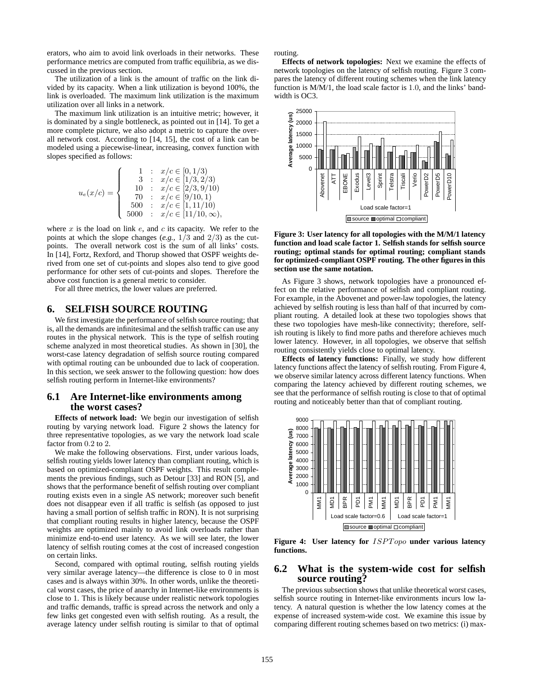erators, who aim to avoid link overloads in their networks. These performance metrics are computed from traffic equilibria, as we discussed in the previous section.

The utilization of a link is the amount of traffic on the link divided by its capacity. When a link utilization is beyond 100%, the link is overloaded. The maximum link utilization is the maximum utilization over all links in a network.

The maximum link utilization is an intuitive metric; however, it is dominated by a single bottleneck, as pointed out in [14]. To get a more complete picture, we also adopt a metric to capture the overall network cost. According to [14, 15], the cost of a link can be modeled using a piecewise-linear, increasing, convex function with slopes specified as follows:

$$
u_e(x/c) = \begin{cases} 1: x/c \in [0, 1/3) \\ 3: x/c \in [1/3, 2/3) \\ 10: x/c \in [2/3, 9/10) \\ 70: x/c \in [9/10, 1) \\ 500: x/c \in [1, 11/10) \\ 5000: x/c \in [11/10, \infty), \end{cases}
$$

where  $x$  is the load on link  $e$ , and  $c$  its capacity. We refer to the points at which the slope changes (*e.g.*, 1/3 and 2/3) as the cutpoints. The overall network cost is the sum of all links' costs. In [14], Fortz, Rexford, and Thorup showed that OSPF weights derived from one set of cut-points and slopes also tend to give good performance for other sets of cut-points and slopes. Therefore the above cost function is a general metric to consider.

For all three metrics, the lower values are preferred.

### **6. SELFISH SOURCE ROUTING**

We first investigate the performance of selfish source routing; that is, all the demands are infinitesimal and the selfish traffic can use any routes in the physical network. This is the type of selfish routing scheme analyzed in most theoretical studies. As shown in [30], the worst-case latency degradation of selfish source routing compared with optimal routing can be unbounded due to lack of cooperation. In this section, we seek answer to the following question: how does selfish routing perform in Internet-like environments?

#### **6.1 Are Internet-like environments among the worst cases?**

**Effects of network load:** We begin our investigation of selfish routing by varying network load. Figure 2 shows the latency for three representative topologies, as we vary the network load scale factor from 0.2 to 2.

We make the following observations. First, under various loads, selfish routing yields lower latency than compliant routing, which is based on optimized-compliant OSPF weights. This result complements the previous findings, such as Detour [33] and RON [5], and shows that the performance benefit of selfish routing over compliant routing exists even in a single AS network; moreover such benefit does not disappear even if all traffic is selfish (as opposed to just having a small portion of selfish traffic in RON). It is not surprising that compliant routing results in higher latency, because the OSPF weights are optimized mainly to avoid link overloads rather than minimize end-to-end user latency. As we will see later, the lower latency of selfish routing comes at the cost of increased congestion on certain links.

Second, compared with optimal routing, selfish routing yields very similar average latency—the difference is close to 0 in most cases and is always within 30%. In other words, unlike the theoretical worst cases, the price of anarchy in Internet-like environments is close to 1. This is likely because under realistic network topologies and traffic demands, traffic is spread across the network and only a few links get congested even with selfish routing. As a result, the average latency under selfish routing is similar to that of optimal

routing.

**Effects of network topologies:** Next we examine the effects of network topologies on the latency of selfish routing. Figure 3 compares the latency of different routing schemes when the link latency function is M/M/1, the load scale factor is 1.0, and the links' bandwidth is OC3.



**Figure 3: User latency for all topologies with the M/M/1 latency function and load scale factor 1. Selfish stands for selfish source routing; optimal stands for optimal routing; compliant stands for optimized-compliant OSPF routing. The other figures in this section use the same notation.**

As Figure 3 shows, network topologies have a pronounced effect on the relative performance of selfish and compliant routing. For example, in the Abovenet and power-law topologies, the latency achieved by selfish routing is less than half of that incurred by compliant routing. A detailed look at these two topologies shows that these two topologies have mesh-like connectivity; therefore, selfish routing is likely to find more paths and therefore achieves much lower latency. However, in all topologies, we observe that selfish routing consistently yields close to optimal latency.

**Effects of latency functions:** Finally, we study how different latency functions affect the latency of selfish routing. From Figure 4, we observe similar latency across different latency functions. When comparing the latency achieved by different routing schemes, we see that the performance of selfish routing is close to that of optimal routing and noticeably better than that of compliant routing.



Figure 4: User latency for **ISPT** opo under various latency **functions.**

#### **6.2 What is the system-wide cost for selfish source routing?**

The previous subsection shows that unlike theoretical worst cases, selfish source routing in Internet-like environments incurs low latency. A natural question is whether the low latency comes at the expense of increased system-wide cost. We examine this issue by comparing different routing schemes based on two metrics: (i) max-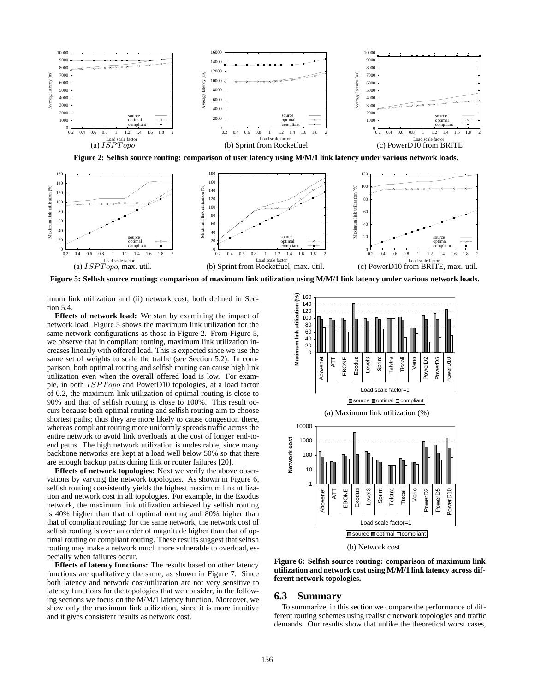

**Figure 2: Selfish source routing: comparison of user latency using M/M/1 link latency under various network loads.**



**Figure 5: Selfish source routing: comparison of maximum link utilization using M/M/1 link latency under various network loads.**

imum link utilization and (ii) network cost, both defined in Section 5.4.

**Effects of network load:** We start by examining the impact of network load. Figure 5 shows the maximum link utilization for the same network configurations as those in Figure 2. From Figure 5, we observe that in compliant routing, maximum link utilization increases linearly with offered load. This is expected since we use the same set of weights to scale the traffic (see Section 5.2). In comparison, both optimal routing and selfish routing can cause high link utilization even when the overall offered load is low. For example, in both *ISPT opo* and PowerD10 topologies, at a load factor of 0.2, the maximum link utilization of optimal routing is close to 90% and that of selfish routing is close to 100%. This result occurs because both optimal routing and selfish routing aim to choose shortest paths; thus they are more likely to cause congestion there, whereas compliant routing more uniformly spreads traffic across the entire network to avoid link overloads at the cost of longer end-toend paths. The high network utilization is undesirable, since many backbone networks are kept at a load well below 50% so that there are enough backup paths during link or router failures [20].

**Effects of network topologies:** Next we verify the above observations by varying the network topologies. As shown in Figure 6, selfish routing consistently yields the highest maximum link utilization and network cost in all topologies. For example, in the Exodus network, the maximum link utilization achieved by selfish routing is 40% higher than that of optimal routing and 80% higher than that of compliant routing; for the same network, the network cost of selfish routing is over an order of magnitude higher than that of optimal routing or compliant routing. These results suggest that selfish routing may make a network much more vulnerable to overload, especially when failures occur.

**Effects of latency functions:** The results based on other latency functions are qualitatively the same, as shown in Figure 7. Since both latency and network cost/utilization are not very sensitive to latency functions for the topologies that we consider, in the following sections we focus on the M/M/1 latency function. Moreover, we show only the maximum link utilization, since it is more intuitive and it gives consistent results as network cost.



**Figure 6: Selfish source routing: comparison of maximum link utilization and network cost using M/M/1 link latency across different network topologies.**

#### **6.3 Summary**

To summarize, in this section we compare the performance of different routing schemes using realistic network topologies and traffic demands. Our results show that unlike the theoretical worst cases,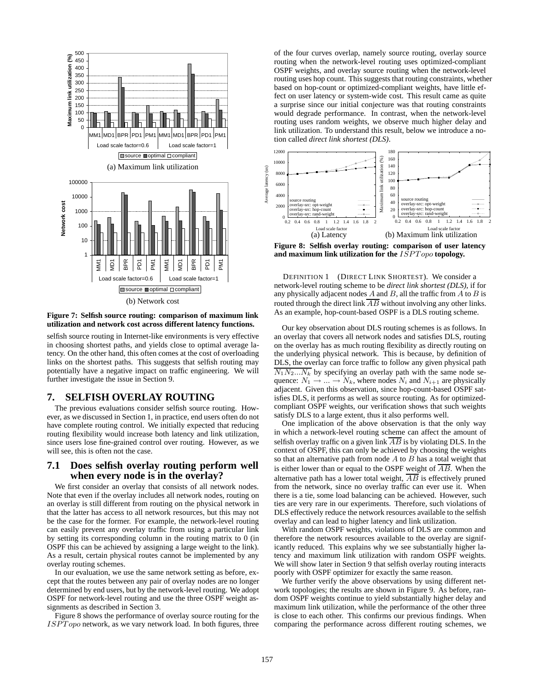

**Figure 7: Selfish source routing: comparison of maximum link utilization and network cost across different latency functions.**

selfish source routing in Internet-like environments is very effective in choosing shortest paths, and yields close to optimal average latency. On the other hand, this often comes at the cost of overloading links on the shortest paths. This suggests that selfish routing may potentially have a negative impact on traffic engineering. We will further investigate the issue in Section 9.

#### **7. SELFISH OVERLAY ROUTING**

The previous evaluations consider selfish source routing. However, as we discussed in Section 1, in practice, end users often do not have complete routing control. We initially expected that reducing routing flexibility would increase both latency and link utilization, since users lose fine-grained control over routing. However, as we will see, this is often not the case.

#### **7.1 Does selfish overlay routing perform well when every node is in the overlay?**

We first consider an overlay that consists of all network nodes. Note that even if the overlay includes all network nodes, routing on an overlay is still different from routing on the physical network in that the latter has access to all network resources, but this may not be the case for the former. For example, the network-level routing can easily prevent any overlay traffic from using a particular link by setting its corresponding column in the routing matrix to 0 (in OSPF this can be achieved by assigning a large weight to the link). As a result, certain physical routes cannot be implemented by any overlay routing schemes.

In our evaluation, we use the same network setting as before, except that the routes between any pair of overlay nodes are no longer determined by end users, but by the network-level routing. We adopt OSPF for network-level routing and use the three OSPF weight assignments as described in Section 3.

Figure 8 shows the performance of overlay source routing for the ISPT opo network, as we vary network load. In both figures, three of the four curves overlap, namely source routing, overlay source routing when the network-level routing uses optimized-compliant OSPF weights, and overlay source routing when the network-level routing uses hop count. This suggests that routing constraints, whether based on hop-count or optimized-compliant weights, have little effect on user latency or system-wide cost. This result came as quite a surprise since our initial conjecture was that routing constraints would degrade performance. In contrast, when the network-level routing uses random weights, we observe much higher delay and link utilization. To understand this result, below we introduce a notion called *direct link shortest (DLS)*.



**Figure 8: Selfish overlay routing: comparison of user latency** and maximum link utilization for the  $\overline{ISPT}$  opo topology.

DEFINITION 1 (DIRECT LINK SHORTEST). We consider a network-level routing scheme to be *direct link shortest (DLS)*, if for any physically adjacent nodes  $A$  and  $B$ , all the traffic from  $A$  to  $B$  is routed through the direct link  $\overline{AB}$  without involving any other links. As an example, hop-count-based OSPF is a DLS routing scheme.

Our key observation about DLS routing schemes is as follows. In an overlay that covers all network nodes and satisfies DLS, routing on the overlay has as much routing flexibility as directly routing on the underlying physical network. This is because, by definition of DLS, the overlay can force traffic to follow any given physical path  $\overline{N_1N_2...N_k}$  by specifying an overlay path with the same node sequence:  $N_1 \rightarrow \dots \rightarrow N_k$ , where nodes  $N_i$  and  $N_{i+1}$  are physically adjacent. Given this observation, since hop-count-based OSPF satisfies DLS, it performs as well as source routing. As for optimizedcompliant OSPF weights, our verification shows that such weights satisfy DLS to a large extent, thus it also performs well.

One implication of the above observation is that the only way in which a network-level routing scheme can affect the amount of selfish overlay traffic on a given link  $\overline{AB}$  is by violating DLS. In the context of OSPF, this can only be achieved by choosing the weights so that an alternative path from node  $A$  to  $B$  has a total weight that is either lower than or equal to the OSPF weight of  $\overline{AB}$ . When the alternative path has a lower total weight,  $\overline{AB}$  is effectively pruned from the network, since no overlay traffic can ever use it. When there is a tie, some load balancing can be achieved. However, such ties are very rare in our experiments. Therefore, such violations of DLS effectively reduce the network resources available to the selfish overlay and can lead to higher latency and link utilization.

With random OSPF weights, violations of DLS are common and therefore the network resources available to the overlay are significantly reduced. This explains why we see substantially higher latency and maximum link utilization with random OSPF weights. We will show later in Section 9 that selfish overlay routing interacts poorly with OSPF optimizer for exactly the same reason.

We further verify the above observations by using different network topologies; the results are shown in Figure 9. As before, random OSPF weights continue to yield substantially higher delay and maximum link utilization, while the performance of the other three is close to each other. This confirms our previous findings. When comparing the performance across different routing schemes, we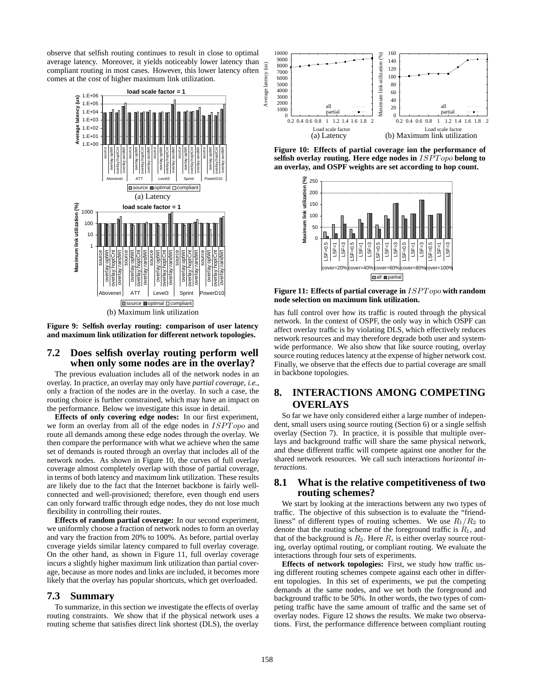observe that selfish routing continues to result in close to optimal average latency. Moreover, it yields noticeably lower latency than compliant routing in most cases. However, this lower latency often comes at the cost of higher maximum link utilization.



**Figure 9: Selfish overlay routing: comparison of user latency and maximum link utilization for different network topologies.**

### **7.2 Does selfish overlay routing perform well when only some nodes are in the overlay?**

The previous evaluation includes all of the network nodes in an overlay. In practice, an overlay may only have *partial coverage*, *i.e.*, only a fraction of the nodes are in the overlay. In such a case, the routing choice is further constrained, which may have an impact on the performance. Below we investigate this issue in detail.

**Effects of only covering edge nodes:** In our first experiment, we form an overlay from all of the edge nodes in ISPT opo and route all demands among these edge nodes through the overlay. We then compare the performance with what we achieve when the same set of demands is routed through an overlay that includes all of the network nodes. As shown in Figure 10, the curves of full overlay coverage almost completely overlap with those of partial coverage, in terms of both latency and maximum link utilization. These results are likely due to the fact that the Internet backbone is fairly wellconnected and well-provisioned; therefore, even though end users can only forward traffic through edge nodes, they do not lose much flexibility in controlling their routes.

**Effects of random partial coverage:** In our second experiment, we uniformly choose a fraction of network nodes to form an overlay and vary the fraction from 20% to 100%. As before, partial overlay coverage yields similar latency compared to full overlay coverage. On the other hand, as shown in Figure 11, full overlay coverage incurs a slightly higher maximum link utilization than partial coverage, because as more nodes and links are included, it becomes more likely that the overlay has popular shortcuts, which get overloaded.

#### **7.3 Summary**

To summarize, in this section we investigate the effects of overlay routing constraints. We show that if the physical network uses a routing scheme that satisfies direct link shortest (DLS), the overlay



**Figure 10: Effects of partial coverage ion the performance of selfish overlay routing. Here edge nodes in** ISP T opo **belong to an overlay, and OSPF weights are set according to hop count.**



**Figure 11: Effects of partial coverage in**  $ISPTopo$  with random **node selection on maximum link utilization.**

has full control over how its traffic is routed through the physical network. In the context of OSPF, the only way in which OSPF can affect overlay traffic is by violating DLS, which effectively reduces network resources and may therefore degrade both user and systemwide performance. We also show that like source routing, overlay source routing reduces latency at the expense of higher network cost. Finally, we observe that the effects due to partial coverage are small in backbone topologies.

# **8. INTERACTIONS AMONG COMPETING OVERLAYS**

So far we have only considered either a large number of independent, small users using source routing (Section 6) or a single selfish overlay (Section 7). In practice, it is possible that multiple overlays and background traffic will share the same physical network, and these different traffic will compete against one another for the shared network resources. We call such interactions *horizontal interactions*.

#### **8.1 What is the relative competitiveness of two routing schemes?**

We start by looking at the interactions between any two types of traffic. The objective of this subsection is to evaluate the "friendliness" of different types of routing schemes. We use  $R_1/R_2$  to denote that the routing scheme of the foreground traffic is  $R_1$ , and that of the background is  $R_2$ . Here  $R_i$  is either overlay source routing, overlay optimal routing, or compliant routing. We evaluate the interactions through four sets of experiments.

**Effects of network topologies:** First, we study how traffic using different routing schemes compete against each other in different topologies. In this set of experiments, we put the competing demands at the same nodes, and we set both the foreground and background traffic to be 50%. In other words, the two types of competing traffic have the same amount of traffic and the same set of overlay nodes. Figure 12 shows the results. We make two observations. First, the performance difference between compliant routing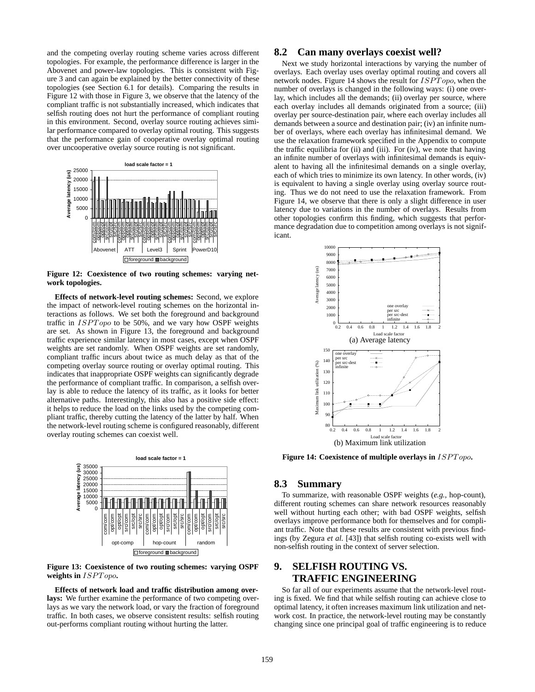and the competing overlay routing scheme varies across different topologies. For example, the performance difference is larger in the Abovenet and power-law topologies. This is consistent with Figure 3 and can again be explained by the better connectivity of these topologies (see Section 6.1 for details). Comparing the results in Figure 12 with those in Figure 3, we observe that the latency of the compliant traffic is not substantially increased, which indicates that selfish routing does not hurt the performance of compliant routing in this environment. Second, overlay source routing achieves similar performance compared to overlay optimal routing. This suggests that the performance gain of cooperative overlay optimal routing over uncooperative overlay source routing is not significant.



**Figure 12: Coexistence of two routing schemes: varying network topologies.**

**Effects of network-level routing schemes:** Second, we explore the impact of network-level routing schemes on the horizontal interactions as follows. We set both the foreground and background traffic in  $ISPTopo$  to be 50%, and we vary how OSPF weights are set. As shown in Figure 13, the foreground and background traffic experience similar latency in most cases, except when OSPF weights are set randomly. When OSPF weights are set randomly, compliant traffic incurs about twice as much delay as that of the competing overlay source routing or overlay optimal routing. This indicates that inappropriate OSPF weights can significantly degrade the performance of compliant traffic. In comparison, a selfish overlay is able to reduce the latency of its traffic, as it looks for better alternative paths. Interestingly, this also has a positive side effect: it helps to reduce the load on the links used by the competing compliant traffic, thereby cutting the latency of the latter by half. When the network-level routing scheme is configured reasonably, different overlay routing schemes can coexist well.



**Figure 13: Coexistence of two routing schemes: varying OSPF** weights in  $ISPTopo$ .

**Effects of network load and traffic distribution among overlays:** We further examine the performance of two competing overlays as we vary the network load, or vary the fraction of foreground traffic. In both cases, we observe consistent results: selfish routing out-performs compliant routing without hurting the latter.

#### **8.2 Can many overlays coexist well?**

Next we study horizontal interactions by varying the number of overlays. Each overlay uses overlay optimal routing and covers all network nodes. Figure 14 shows the result for  $ISPTopo$ , when the number of overlays is changed in the following ways: (i) one overlay, which includes all the demands; (ii) overlay per source, where each overlay includes all demands originated from a source; (iii) overlay per source-destination pair, where each overlay includes all demands between a source and destination pair; (iv) an infinite number of overlays, where each overlay has infinitesimal demand. We use the relaxation framework specified in the Appendix to compute the traffic equilibria for (ii) and (iii). For (iv), we note that having an infinite number of overlays with infinitesimal demands is equivalent to having all the infinitesimal demands on a single overlay, each of which tries to minimize its own latency. In other words, (iv) is equivalent to having a single overlay using overlay source routing. Thus we do not need to use the relaxation framework. From Figure 14, we observe that there is only a slight difference in user latency due to variations in the number of overlays. Results from other topologies confirm this finding, which suggests that performance degradation due to competition among overlays is not significant.



**Figure 14: Coexistence of multiple overlays in**  $ISPTopo$ .

#### **8.3 Summary**

To summarize, with reasonable OSPF weights (*e.g.*, hop-count), different routing schemes can share network resources reasonably well without hurting each other; with bad OSPF weights, selfish overlays improve performance both for themselves and for compliant traffic. Note that these results are consistent with previous findings (by Zegura *et al.* [43]) that selfish routing co-exists well with non-selfish routing in the context of server selection.

# **9. SELFISH ROUTING VS. TRAFFIC ENGINEERING**

So far all of our experiments assume that the network-level routing is fixed. We find that while selfish routing can achieve close to optimal latency, it often increases maximum link utilization and network cost. In practice, the network-level routing may be constantly changing since one principal goal of traffic engineering is to reduce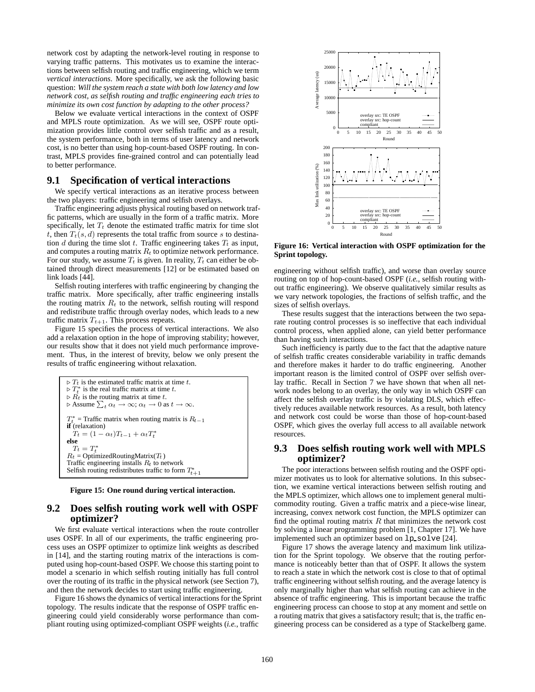network cost by adapting the network-level routing in response to varying traffic patterns. This motivates us to examine the interactions between selfish routing and traffic engineering, which we term *vertical interactions*. More specifically, we ask the following basic question: *Will the system reach a state with both low latency and low network cost, as selfish routing and traffic engineering each tries to minimize its own cost function by adapting to the other process?*

Below we evaluate vertical interactions in the context of OSPF and MPLS route optimization. As we will see, OSPF route optimization provides little control over selfish traffic and as a result, the system performance, both in terms of user latency and network cost, is no better than using hop-count-based OSPF routing. In contrast, MPLS provides fine-grained control and can potentially lead to better performance.

#### **9.1 Specification of vertical interactions**

We specify vertical interactions as an iterative process between the two players: traffic engineering and selfish overlays.

Traffic engineering adjusts physical routing based on network traffic patterns, which are usually in the form of a traffic matrix. More specifically, let  $T_t$  denote the estimated traffic matrix for time slot t, then  $T_t(s, d)$  represents the total traffic from source s to destination d during the time slot t. Traffic engineering takes  $T_t$  as input, and computes a routing matrix  $R_t$  to optimize network performance. For our study, we assume  $T_t$  is given. In reality,  $T_t$  can either be obtained through direct measurements [12] or be estimated based on link loads [44].

Selfish routing interferes with traffic engineering by changing the traffic matrix. More specifically, after traffic engineering installs the routing matrix  $R_t$  to the network, selfish routing will respond and redistribute traffic through overlay nodes, which leads to a new traffic matrix  $T_{t+1}$ . This process repeats.

Figure 15 specifies the process of vertical interactions. We also add a relaxation option in the hope of improving stability; however, our results show that it does not yield much performance improvement. Thus, in the interest of brevity, below we only present the results of traffic engineering without relaxation.

 $\triangleright T_t$  is the estimated traffic matrix at time t.  $\triangleright T_t^*$  is the real traffic matrix at time t.  $\triangleright R_t$  is the routing matrix at time t.  $\triangleright$  Assume  $\sum_t \alpha_t \to \infty$ ;  $\alpha_t \to 0$  as  $t \to \infty$ .  $T_t^*$  = Traffic matrix when routing matrix is  $R_{t-1}$ **if** (relaxation)  $T_t = (1 - \alpha_t)T_{t-1} + \alpha_t T_t^*$ **else**  $T_t=T_t^*$  $R_t$  = OptimizedRoutingMatrix( $T_t$ ) Traffic engineering installs  $R_t$  to network Selfish routing redistributes traffic to form  $T^*_{t+1}$ 

**Figure 15: One round during vertical interaction.**

#### **9.2 Does selfish routing work well with OSPF optimizer?**

We first evaluate vertical interactions when the route controller uses OSPF. In all of our experiments, the traffic engineering process uses an OSPF optimizer to optimize link weights as described in [14], and the starting routing matrix of the interactions is computed using hop-count-based OSPF. We choose this starting point to model a scenario in which selfish routing initially has full control over the routing of its traffic in the physical network (see Section 7), and then the network decides to start using traffic engineering.

Figure 16 shows the dynamics of vertical interactions for the Sprint topology. The results indicate that the response of OSPF traffic engineering could yield considerably worse performance than compliant routing using optimized-compliant OSPF weights (*i.e.*, traffic



**Figure 16: Vertical interaction with OSPF optimization for the Sprint topology.**

engineering without selfish traffic), and worse than overlay source routing on top of hop-count-based OSPF (*i.e.*, selfish routing without traffic engineering). We observe qualitatively similar results as we vary network topologies, the fractions of selfish traffic, and the sizes of selfish overlays.

These results suggest that the interactions between the two separate routing control processes is so ineffective that each individual control process, when applied alone, can yield better performance than having such interactions.

Such inefficiency is partly due to the fact that the adaptive nature of selfish traffic creates considerable variability in traffic demands and therefore makes it harder to do traffic engineering. Another important reason is the limited control of OSPF over selfish overlay traffic. Recall in Section 7 we have shown that when all network nodes belong to an overlay, the only way in which OSPF can affect the selfish overlay traffic is by violating DLS, which effectively reduces available network resources. As a result, both latency and network cost could be worse than those of hop-count-based OSPF, which gives the overlay full access to all available network resources.

#### **9.3 Does selfish routing work well with MPLS optimizer?**

The poor interactions between selfish routing and the OSPF optimizer motivates us to look for alternative solutions. In this subsection, we examine vertical interactions between selfish routing and the MPLS optimizer, which allows one to implement general multicommodity routing. Given a traffic matrix and a piece-wise linear, increasing, convex network cost function, the MPLS optimizer can find the optimal routing matrix  $R$  that minimizes the network cost by solving a linear programming problem [1, Chapter 17]. We have implemented such an optimizer based on lp solve [24].

Figure 17 shows the average latency and maximum link utilization for the Sprint topology. We observe that the routing performance is noticeably better than that of OSPF. It allows the system to reach a state in which the network cost is close to that of optimal traffic engineering without selfish routing, and the average latency is only marginally higher than what selfish routing can achieve in the absence of traffic engineering. This is important because the traffic engineering process can choose to stop at any moment and settle on a routing matrix that gives a satisfactory result; that is, the traffic engineering process can be considered as a type of Stackelberg game.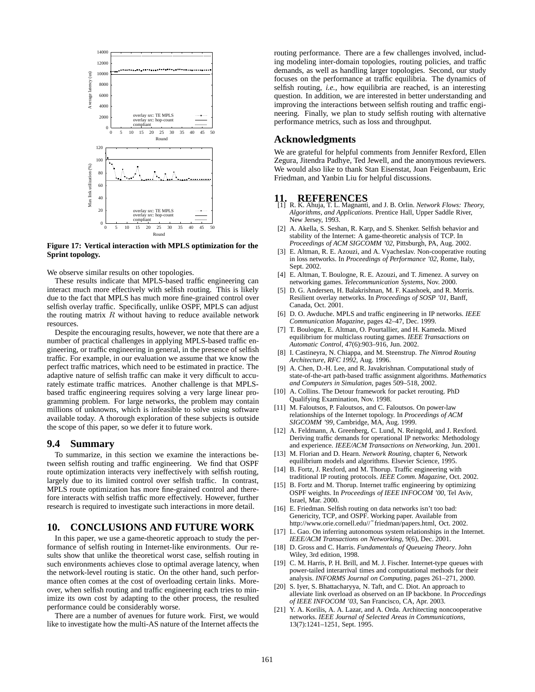

**Figure 17: Vertical interaction with MPLS optimization for the Sprint topology.**

We observe similar results on other topologies.

These results indicate that MPLS-based traffic engineering can interact much more effectively with selfish routing. This is likely due to the fact that MPLS has much more fine-grained control over selfish overlay traffic. Specifically, unlike OSPF, MPLS can adjust the routing matrix  $R$  without having to reduce available network resources.

Despite the encouraging results, however, we note that there are a number of practical challenges in applying MPLS-based traffic engineering, or traffic engineering in general, in the presence of selfish traffic. For example, in our evaluation we assume that we know the perfect traffic matrices, which need to be estimated in practice. The adaptive nature of selfish traffic can make it very difficult to accurately estimate traffic matrices. Another challenge is that MPLSbased traffic engineering requires solving a very large linear programming problem. For large networks, the problem may contain millions of unknowns, which is infeasible to solve using software available today. A thorough exploration of these subjects is outside the scope of this paper, so we defer it to future work.

#### **9.4 Summary**

To summarize, in this section we examine the interactions between selfish routing and traffic engineering. We find that OSPF route optimization interacts very ineffectively with selfish routing, largely due to its limited control over selfish traffic. In contrast, MPLS route optimization has more fine-grained control and therefore interacts with selfish traffic more effectively. However, further research is required to investigate such interactions in more detail.

#### **10. CONCLUSIONS AND FUTURE WORK**

In this paper, we use a game-theoretic approach to study the performance of selfish routing in Internet-like environments. Our results show that unlike the theoretical worst case, selfish routing in such environments achieves close to optimal average latency, when the network-level routing is static. On the other hand, such performance often comes at the cost of overloading certain links. Moreover, when selfish routing and traffic engineering each tries to minimize its own cost by adapting to the other process, the resulted performance could be considerably worse.

There are a number of avenues for future work. First, we would like to investigate how the multi-AS nature of the Internet affects the

routing performance. There are a few challenges involved, including modeling inter-domain topologies, routing policies, and traffic demands, as well as handling larger topologies. Second, our study focuses on the performance at traffic equilibria. The dynamics of selfish routing, *i.e.*, how equilibria are reached, is an interesting question. In addition, we are interested in better understanding and improving the interactions between selfish routing and traffic engineering. Finally, we plan to study selfish routing with alternative performance metrics, such as loss and throughput.

#### **Acknowledgments**

We are grateful for helpful comments from Jennifer Rexford, Ellen Zegura, Jitendra Padhye, Ted Jewell, and the anonymous reviewers. We would also like to thank Stan Eisenstat, Joan Feigenbaum, Eric Friedman, and Yanbin Liu for helpful discussions.

- **11. REFERENCES** [1] R. K. Ahuja, T. L. Magnanti, and J. B. Orlin. *Network Flows: Theory, Algorithms, and Applications*. Prentice Hall, Upper Saddle River, New Jersey, 1993.
- [2] A. Akella, S. Seshan, R. Karp, and S. Shenker. Selfish behavior and stability of the Internet: A game-theoretic analysis of TCP. In *Proceedings of ACM SIGCOMM '02*, Pittsburgh, PA, Aug. 2002.
- [3] E. Altman, R. E. Azouzi, and A. Vyacheslav. Non-cooperative routing in loss networks. In *Proceedings of Performance '02*, Rome, Italy, Sept. 2002.
- [4] E. Altman, T. Boulogne, R. E. Azouzi, and T. Jimenez. A survey on networking games. *Telecommunication Systems*, Nov. 2000.
- [5] D. G. Andersen, H. Balakrishnan, M. F. Kaashoek, and R. Morris. Resilient overlay networks. In *Proceedings of SOSP '01*, Banff, Canada, Oct. 2001.
- [6] D. O. Awduche. MPLS and traffic engineering in IP networks. *IEEE Communication Magazine*, pages 42–47, Dec. 1999.
- [7] T. Boulogne, E. Altman, O. Pourtallier, and H. Kameda. Mixed equilibrium for multiclass routing games. *IEEE Transactions on Automatic Control*, 47(6):903–916, Jun. 2002.
- [8] I. Castineyra, N. Chiappa, and M. Steenstrup. *The Nimrod Routing Architecture, RFC 1992*, Aug. 1996.
- A. Chen, D.-H. Lee, and R. Javakrishnan. Computational study of state-of-the-art path-based traffic assignment algorithms. *Mathematics and Computers in Simulation*, pages 509–518, 2002.
- [10] A. Collins. The Detour framework for packet rerouting. PhD Qualifying Examination, Nov. 1998.
- [11] M. Faloutsos, P. Faloutsos, and C. Faloutsos. On power-law relationships of the Internet topology. In *Proceedings of ACM SIGCOMM '99*, Cambridge, MA, Aug. 1999.
- [12] A. Feldmann, A. Greenberg, C. Lund, N. Reingold, and J. Rexford. Deriving traffic demands for operational IP networks: Methodology and experience. *IEEE/ACM Transactions on Networking*, Jun. 2001.
- [13] M. Florian and D. Hearn. *Network Routing*, chapter 6, Network equilibrium models and algorithms. Elsevier Science, 1995.
- [14] B. Fortz, J. Rexford, and M. Thorup. Traffic engineering with traditional IP routing protocols. *IEEE Comm. Magazine*, Oct. 2002.
- [15] B. Fortz and M. Thorup. Internet traffic engineering by optimizing OSPF weights. In *Proceedings of IEEE INFOCOM '00*, Tel Aviv, Israel, Mar. 2000.
- [16] E. Friedman. Selfish routing on data networks isn't too bad: Genericity, TCP, and OSPF. Working paper. Available from http://www.orie.cornell.edu//˜friedman/papers.html, Oct. 2002.
- [17] L. Gao. On inferring autonomous system relationships in the Internet. *IEEE/ACM Transactions on Networking*, 9(6), Dec. 2001.
- [18] D. Gross and C. Harris. *Fundamentals of Queueing Theory*. John Wiley, 3rd edition, 1998.
- [19] C. M. Harris, P. H. Brill, and M. J. Fischer. Internet-type queues with power-tailed interarrival times and computational methods for their analysis. *INFORMS Journal on Computing*, pages 261–271, 2000.
- [20] S. Iyer, S. Bhattacharyya, N. Taft, and C. Diot. An approach to alleviate link overload as observed on an IP backbone. In *Proccedings of IEEE INFOCOM '03*, San Francisco, CA, Apr. 2003.
- [21] Y. A. Korilis, A. A. Lazar, and A. Orda. Architecting noncooperative networks. *IEEE Journal of Selected Areas in Communications*, 13(7):1241–1251, Sept. 1995.